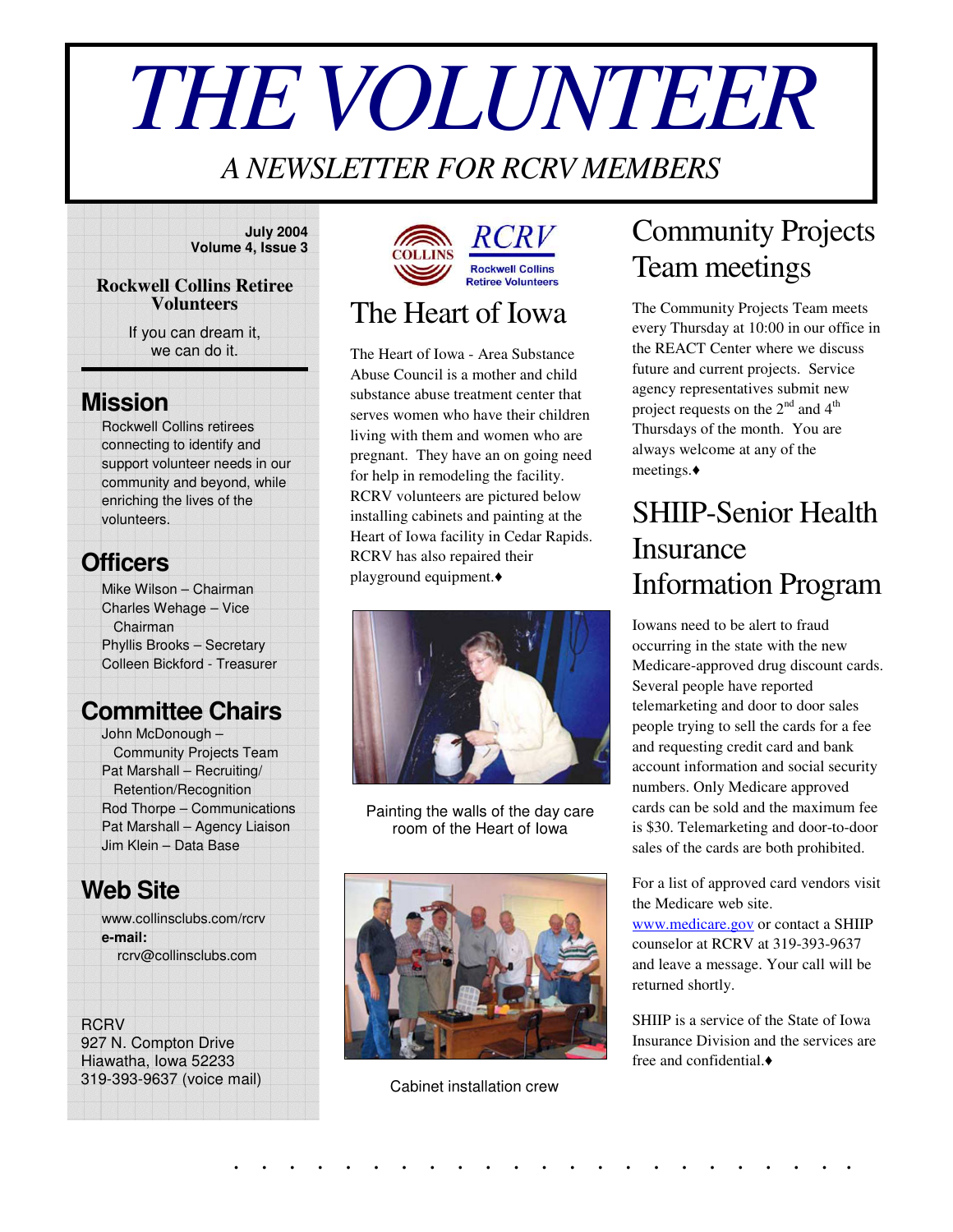# *THEVOLUNTEER*

#### *A NEWSLETTER FOR RCRV MEMBERS*

#### **July 2004 Volume 4, Issue 3**

#### **Rockwell Collins Retiree Volunteers**

If you can dream it, we can do it.

#### **Mission**

Rockwell Collins retirees connecting to identify and support volunteer needs in our community and beyond, while enriching the lives of the volunteers.

#### **Officers**

Mike Wilson – Chairman Charles Wehage – Vice Chairman Phyllis Brooks – Secretary Colleen Bickford - Treasurer

#### **Committee Chairs**

John McDonough – Community Projects Team Pat Marshall – Recruiting/ Retention/Recognition Rod Thorpe – Communications Pat Marshall – Agency Liaison Jim Klein – Data Base

#### **Web Site**

www.collinsclubs.com/rcrv **e-mail:** rcrv@collinsclubs.com

**RCRV** 927 N. Compton Drive Hiawatha, Iowa 52233 319-393-9637 (voice mail)



#### **Rockwell Collins** The Heart of Iowa

The Heart of Iowa - Area Substance Abuse Council is a mother and child substance abuse treatment center that serves women who have their children living with them and women who are pregnant. They have an on going need for help in remodeling the facility. RCRV volunteers are pictured below installing cabinets and painting at the Heart of Iowa facility in Cedar Rapids. RCRV has also repaired their playground equipment.



Painting the walls of the day care room of the Heart of Iowa



Cabinet installation crew

. . . . . . . . . . . . . . . . . . . . . . .

## Community Projects Team meetings

The Community Projects Team meets every Thursday at 10:00 in our office in the REACT Center where we discuss future and current projects. Service agency representatives submit new project requests on the  $2<sup>nd</sup>$  and  $4<sup>th</sup>$ Thursdays of the month. You are always welcome at any of the meetings.

## SHIIP-Senior Health Insurance Information Program

Iowans need to be alert to fraud occurring in the state with the new Medicare-approved drug discount cards. Several people have reported telemarketing and door to door sales people trying to sell the cards for a fee and requesting credit card and bank account information and social security numbers. Only Medicare approved cards can be sold and the maximum fee is \$30. Telemarketing and door-to-door sales of the cards are both prohibited.

For a list of approved card vendors visit the Medicare web site.

www.medicare.gov or contact a SHIIP counselor at RCRV at 319-393-9637 and leave a message. Your call will be returned shortly.

SHIIP is a service of the State of Iowa Insurance Division and the services are free and confidential.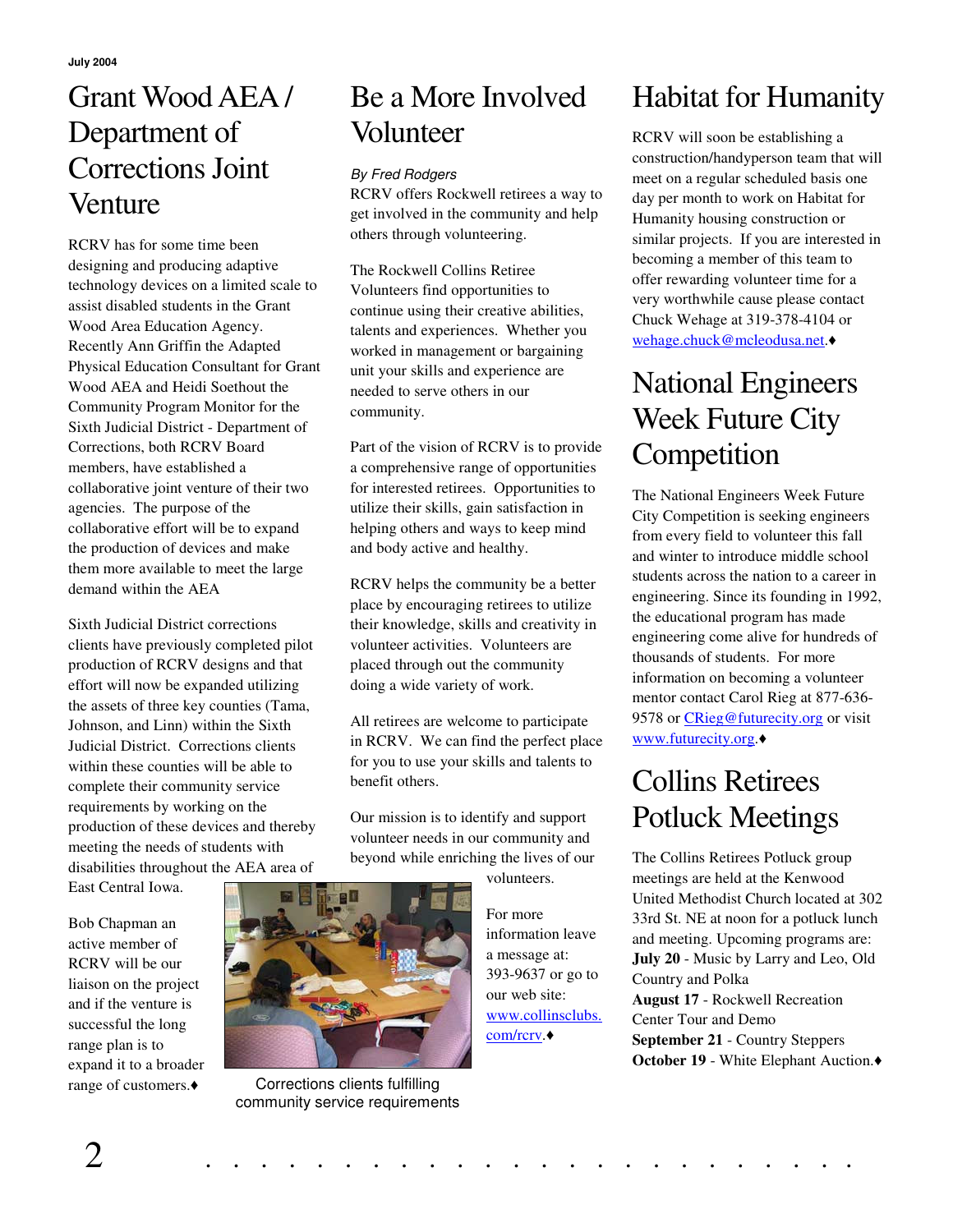#### Grant WoodAEA / Department of Corrections Joint **Venture**

RCRV has for some time been designing and producing adaptive technology devices on a limited scale to assist disabled students in the Grant Wood Area Education Agency. Recently Ann Griffin the Adapted Physical Education Consultant for Grant Wood AEA and Heidi Soethout the Community Program Monitor for the Sixth Judicial District - Department of Corrections, both RCRV Board members, have established a collaborative joint venture of their two agencies. The purpose of the collaborative effort will be to expand the production of devices and make them more available to meet the large demand within the AEA

Sixth Judicial District corrections clients have previously completed pilot production of RCRV designs and that effort will now be expanded utilizing the assets of three key counties (Tama, Johnson, and Linn) within the Sixth Judicial District. Corrections clients within these counties will be able to complete their community service requirements by working on the production of these devices and thereby meeting the needs of students with disabilities throughout the AEA area of

East Central Iowa.

Bob Chapman an active member of RCRV will be our liaison on the project and if the venture is successful the long range plan is to expand it to a broader range of customers.

#### Be a More Involved Volunteer

#### *By Fred Rodgers*

RCRV offers Rockwell retirees a way to get involved in the community and help others through volunteering.

The Rockwell Collins Retiree Volunteers find opportunities to continue using their creative abilities, talents and experiences. Whether you worked in management or bargaining unit your skills and experience are needed to serve others in our community.

Part of the vision of RCRV is to provide a comprehensive range of opportunities for interested retirees. Opportunities to utilize their skills, gain satisfaction in helping others and ways to keep mind and body active and healthy.

RCRV helps the community be a better place by encouraging retirees to utilize their knowledge, skills and creativity in volunteer activities. Volunteers are placed through out the community doing a wide variety of work.

All retirees are welcome to participate in RCRV. We can find the perfect place for you to use your skills and talents to benefit others.

Our mission is to identify and support volunteer needs in our community and beyond while enriching the lives of our

volunteers.

For more information leave a message at: 393-9637 or go to our web site: www.collinsclubs. com/rcry.◆

# Habitat for Humanity

RCRV will soon be establishing a construction/handyperson team that will meet on a regular scheduled basis one day per month to work on Habitat for Humanity housing construction or similar projects. If you are interested in becoming a member of this team to offer rewarding volunteer time for a very worthwhile cause please contact Chuck Wehage at 319-378-4104 or wehage.chuck@mcleodusa.net.

## National Engineers Week Future City **Competition**

The National Engineers Week Future City Competition is seeking engineers from every field to volunteer this fall and winter to introduce middle school students across the nation to a career in engineering. Since its founding in 1992, the educational program has made engineering come alive for hundreds of thousands of students. For more information on becoming a volunteer mentor contact Carol Rieg at 877-636- 9578 or CRieg@futurecity.org or visit www.futurecity.org.

## Collins Retirees Potluck Meetings

The Collins Retirees Potluck group meetings are held at the Kenwood United Methodist Church located at 302 33rd St. NE at noon for a potluck lunch and meeting. Upcoming programs are: **July 20** - Music by Larry and Leo, Old Country and Polka **August 17** - Rockwell Recreation Center Tour and Demo **September 21** - Country Steppers **October 19** - White Elephant Auction.



Corrections clients fulfilling community service requirements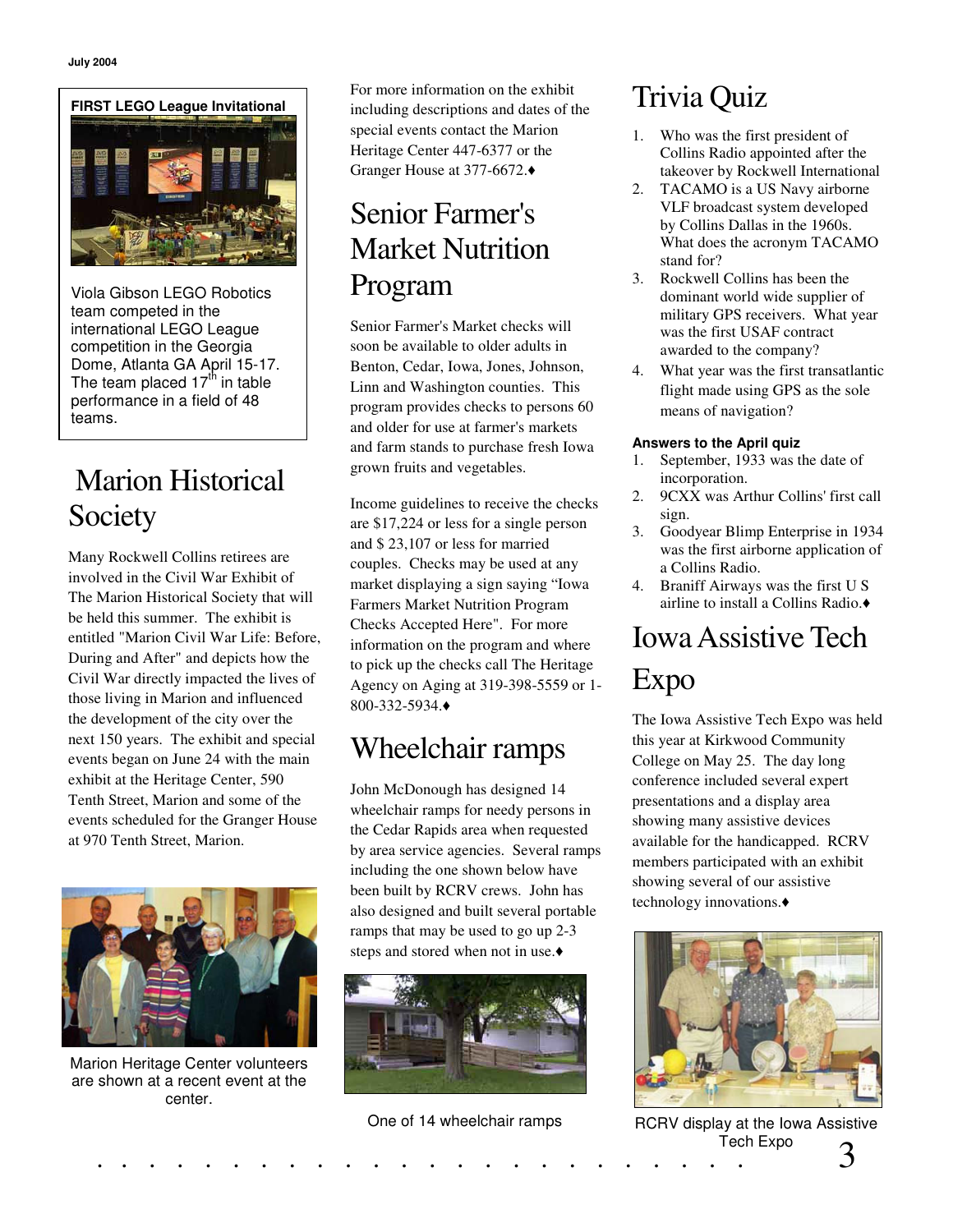

Viola Gibson LEGO Robotics team competed in the international LEGO League competition in the Georgia Dome, Atlanta GA April 15-17. The team placed 17<sup>th</sup> in table performance in a field of 48 teams.

# Marion Historical **Society**

Many Rockwell Collins retirees are involved in the Civil War Exhibit of The Marion Historical Society that will be held this summer. The exhibit is entitled "Marion Civil War Life: Before, During and After" and depicts how the Civil War directly impacted the lives of those living in Marion and influenced the development of the city over the next 150 years. The exhibit and special events began on June 24 with the main exhibit at the Heritage Center, 590 Tenth Street, Marion and some of the events scheduled for the Granger House at 970 Tenth Street, Marion.



Marion Heritage Center volunteers are shown at a recent event at the center.

For more information on the exhibit including descriptions and dates of the special events contact the Marion Heritage Center 447-6377 or the Granger House at 377-6672.

#### Senior Farmer's Market Nutrition Program

Senior Farmer's Market checks will soon be available to older adults in Benton, Cedar, Iowa, Jones, Johnson, Linn and Washington counties. This program provides checks to persons 60 and older for use at farmer's markets and farm stands to purchase fresh Iowa grown fruits and vegetables.

Income guidelines to receive the checks are \$17,224 or less for a single person and \$ 23,107 or less for married couples. Checks may be used at any market displaying a sign saying "Iowa Farmers Market Nutrition Program Checks Accepted Here". For more information on the program and where to pick up the checks call The Heritage Agency on Aging at 319-398-5559 or 1- 800-332-5934.

# Wheelchair ramps

John McDonough has designed 14 wheelchair ramps for needy persons in the Cedar Rapids area when requested by area service agencies. Several ramps including the one shown below have been built by RCRV crews. John has also designed and built several portable ramps that may be used to go up 2-3 steps and stored when not in use.



One of 14 wheelchair ramps

# Trivia Quiz

- 1. Who was the first president of Collins Radio appointed after the takeover by Rockwell International
- 2. TACAMO is a US Navy airborne VLF broadcast system developed by Collins Dallas in the 1960s. What does the acronym TACAMO stand for?
- 3. Rockwell Collins has been the dominant world wide supplier of military GPS receivers. What year was the first USAF contract awarded to the company?
- 4. What year was the first transatlantic flight made using GPS as the sole means of navigation?

#### **Answers to the April quiz**

- 1. September, 1933 was the date of incorporation.
- 2. 9CXX was Arthur Collins' first call sign.
- 3. Goodyear Blimp Enterprise in 1934 was the first airborne application of a Collins Radio.
- 4. Braniff Airways was the first U S airline to install a Collins Radio.

# IowaAssistive Tech Expo

The Iowa Assistive Tech Expo was held this year at Kirkwood Community College on May 25. The day long conference included several expert presentations and a display area showing many assistive devices available for the handicapped. RCRV members participated with an exhibit showing several of our assistive technology innovations.



. . . . . . . . . . . . . . . . . . . . . . . . 3 RCRV display at the Iowa Assistive Tech Expo